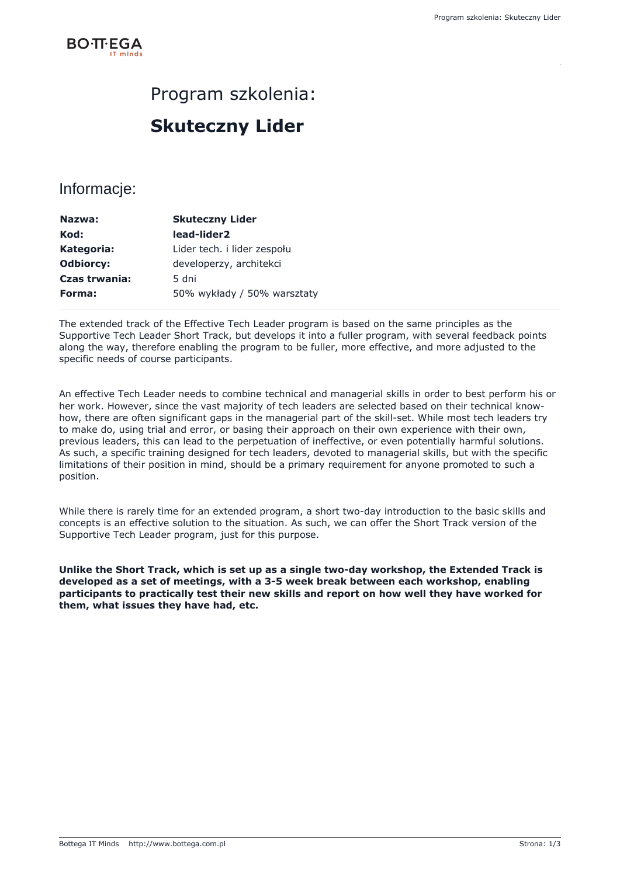

### Program szkolenia:

## **Skuteczny Lider**

### Informacje:

| 50% wykłady / 50% warsztaty |
|-----------------------------|
|                             |

The extended track of the Effective Tech Leader program is based on the same principles as the Supportive Tech Leader Short Track, but develops it into a fuller program, with several feedback points along the way, therefore enabling the program to be fuller, more effective, and more adjusted to the specific needs of course participants.

An effective Tech Leader needs to combine technical and managerial skills in order to best perform his or her work. However, since the vast majority of tech leaders are selected based on their technical knowhow, there are often significant gaps in the managerial part of the skill-set. While most tech leaders try to make do, using trial and error, or basing their approach on their own experience with their own, previous leaders, this can lead to the perpetuation of ineffective, or even potentially harmful solutions. As such, a specific training designed for tech leaders, devoted to managerial skills, but with the specific limitations of their position in mind, should be a primary requirement for anyone promoted to such a position.

While there is rarely time for an extended program, a short two-day introduction to the basic skills and concepts is an effective solution to the situation. As such, we can offer the Short Track version of the Supportive Tech Leader program, just for this purpose.

**Unlike the Short Track, which is set up as a single two-day workshop, the Extended Track is developed as a set of meetings, with a 3-5 week break between each workshop, enabling participants to practically test their new skills and report on how well they have worked for them, what issues they have had, etc.**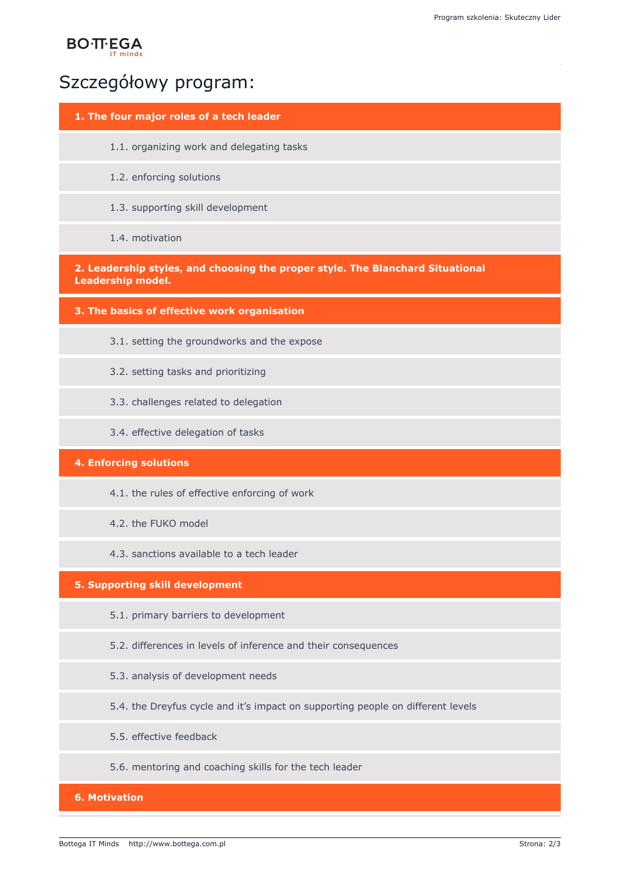# **BO**·TT·EGA

### Szczegółowy program:

#### **1. The four major roles of a tech leader**

- 1.1. organizing work and delegating tasks
- 1.2. enforcing solutions
- 1.3. supporting skill development
- 1.4. motivation

**2. Leadership styles, and choosing the proper style. The Blanchard Situational Leadership model.**

**3. The basics of effective work organisation**

- 3.1. setting the groundworks and the expose
- 3.2. setting tasks and prioritizing
- 3.3. challenges related to delegation
- 3.4. effective delegation of tasks

#### **4. Enforcing solutions**

- 4.1. the rules of effective enforcing of work
- 4.2. the FUKO model
- 4.3. sanctions available to a tech leader

#### **5. Supporting skill development**

- 5.1. primary barriers to development
- 5.2. differences in levels of inference and their consequences
- 5.3. analysis of development needs
- 5.4. the Dreyfus cycle and it's impact on supporting people on different levels
- 5.5. effective feedback
- 5.6. mentoring and coaching skills for the tech leader

#### **6. Motivation**